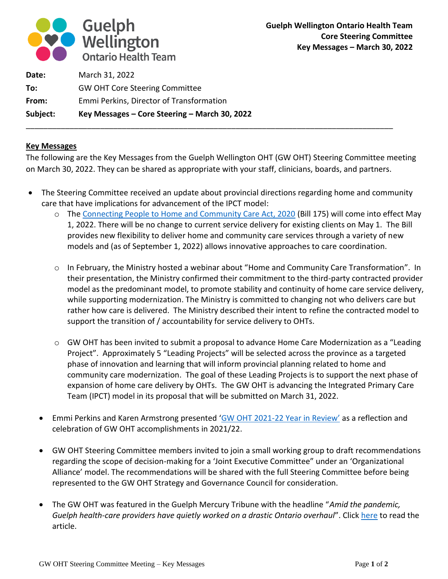

| Subject: | Key Messages - Core Steering - March 30, 2022 |
|----------|-----------------------------------------------|
| From:    | Emmi Perkins, Director of Transformation      |
| To:      | <b>GW OHT Core Steering Committee</b>         |
| Date:    | March 31, 2022                                |

## **Key Messages**

The following are the Key Messages from the Guelph Wellington OHT (GW OHT) Steering Committee meeting on March 30, 2022. They can be shared as appropriate with your staff, clinicians, boards, and partners.

\_\_\_\_\_\_\_\_\_\_\_\_\_\_\_\_\_\_\_\_\_\_\_\_\_\_\_\_\_\_\_\_\_\_\_\_\_\_\_\_\_\_\_\_\_\_\_\_\_\_\_\_\_\_\_\_\_\_\_\_\_\_\_\_\_\_\_\_\_\_\_\_\_\_\_\_\_\_\_\_\_\_\_\_

- The Steering Committee received an update about provincial directions regarding home and community care that have implications for advancement of the IPCT model:
	- o The [Connecting People to Home and Community Care Act, 2020](https://www.ontario.ca/laws/regulation/r22187) (Bill 175) will come into effect May 1, 2022. There will be no change to current service delivery for existing clients on May 1. The Bill provides new flexibility to deliver home and community care services through a variety of new models and (as of September 1, 2022) allows innovative approaches to care coordination.
	- o In February, the Ministry hosted a webinar about "Home and Community Care Transformation". In their presentation, the Ministry confirmed their commitment to the third-party contracted provider model as the predominant model, to promote stability and continuity of home care service delivery, while supporting modernization. The Ministry is committed to changing not who delivers care but rather how care is delivered. The Ministry described their intent to refine the contracted model to support the transition of / accountability for service delivery to OHTs.
	- o GW OHT has been invited to submit a proposal to advance Home Care Modernization as a "Leading Project". Approximately 5 "Leading Projects" will be selected across the province as a targeted phase of innovation and learning that will inform provincial planning related to home and community care modernization. The goal of these Leading Projects is to support the next phase of expansion of home care delivery by OHTs. The GW OHT is advancing the Integrated Primary Care Team (IPCT) model in its proposal that will be submitted on March 31, 2022.
	- Emmi Perkins and Karen Armstrong presented 'GW OHT 2021-[22 Year in Review'](https://www.canva.com/design/DAEiInuHldw/Dm9_K9KXAvcwIvzdtkEhvQ/view?utm_content=DAEiInuHldw&utm_campaign=designshare&utm_medium=link2&utm_source=sharebutton) as a reflection and celebration of GW OHT accomplishments in 2021/22.
	- GW OHT Steering Committee members invited to join a small working group to draft recommendations regarding the scope of decision-making for a 'Joint Executive Committee" under an 'Organizational Alliance' model. The recommendations will be shared with the full Steering Committee before being represented to the GW OHT Strategy and Governance Council for consideration.
	- The GW OHT was featured in the Guelph Mercury Tribune with the headline "*Amid the pandemic, Guelph health-care providers have quietly worked on a drastic Ontario overhaul*". Click [here](https://www.guelphmercury.com/news-story/10590224-amid-the-pandemic-guelph-health-care-providers-have-quietly-worked-on-a-drastic-ontario-overhaul/) to read the article.